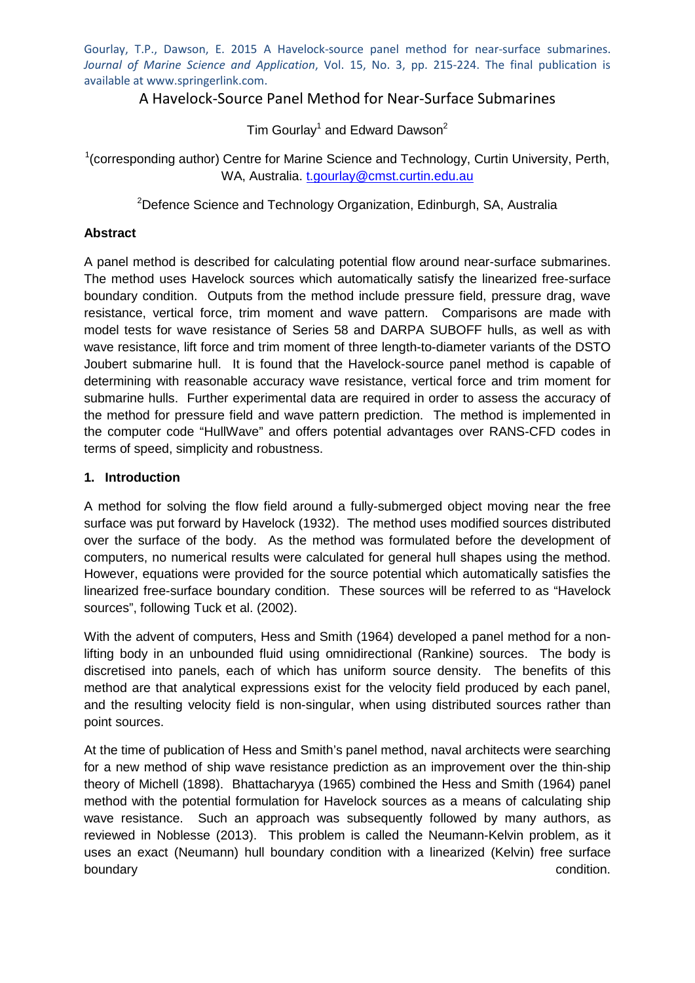Gourlay, T.P., Dawson, E. 2015 A Havelock-source panel method for near-surface submarines. *Journal of Marine Science and Application*, Vol. 15, No. 3, pp. 215-224. The final publication is available at www.springerlink.com.

# A Havelock-Source Panel Method for Near-Surface Submarines

Tim Gourlay<sup>1</sup> and Edward Dawson<sup>2</sup>

<sup>1</sup> (corresponding author) Centre for Marine Science and Technology, Curtin University, Perth, WA, Australia. [t.gourlay@cmst.curtin.edu.au](mailto:t.gourlay@cmst.curtin.edu.au)

<sup>2</sup>Defence Science and Technology Organization, Edinburgh, SA, Australia

### **Abstract**

A panel method is described for calculating potential flow around near-surface submarines. The method uses Havelock sources which automatically satisfy the linearized free-surface boundary condition. Outputs from the method include pressure field, pressure drag, wave resistance, vertical force, trim moment and wave pattern. Comparisons are made with model tests for wave resistance of Series 58 and DARPA SUBOFF hulls, as well as with wave resistance, lift force and trim moment of three length-to-diameter variants of the DSTO Joubert submarine hull. It is found that the Havelock-source panel method is capable of determining with reasonable accuracy wave resistance, vertical force and trim moment for submarine hulls. Further experimental data are required in order to assess the accuracy of the method for pressure field and wave pattern prediction. The method is implemented in the computer code "HullWave" and offers potential advantages over RANS-CFD codes in terms of speed, simplicity and robustness.

### **1. Introduction**

A method for solving the flow field around a fully-submerged object moving near the free surface was put forward by Havelock (1932). The method uses modified sources distributed over the surface of the body. As the method was formulated before the development of computers, no numerical results were calculated for general hull shapes using the method. However, equations were provided for the source potential which automatically satisfies the linearized free-surface boundary condition. These sources will be referred to as "Havelock sources", following Tuck et al. (2002).

With the advent of computers, Hess and Smith (1964) developed a panel method for a nonlifting body in an unbounded fluid using omnidirectional (Rankine) sources. The body is discretised into panels, each of which has uniform source density. The benefits of this method are that analytical expressions exist for the velocity field produced by each panel, and the resulting velocity field is non-singular, when using distributed sources rather than point sources.

At the time of publication of Hess and Smith's panel method, naval architects were searching for a new method of ship wave resistance prediction as an improvement over the thin-ship theory of Michell (1898). Bhattacharyya (1965) combined the Hess and Smith (1964) panel method with the potential formulation for Havelock sources as a means of calculating ship wave resistance. Such an approach was subsequently followed by many authors, as reviewed in Noblesse (2013). This problem is called the Neumann-Kelvin problem, as it uses an exact (Neumann) hull boundary condition with a linearized (Kelvin) free surface boundary condition.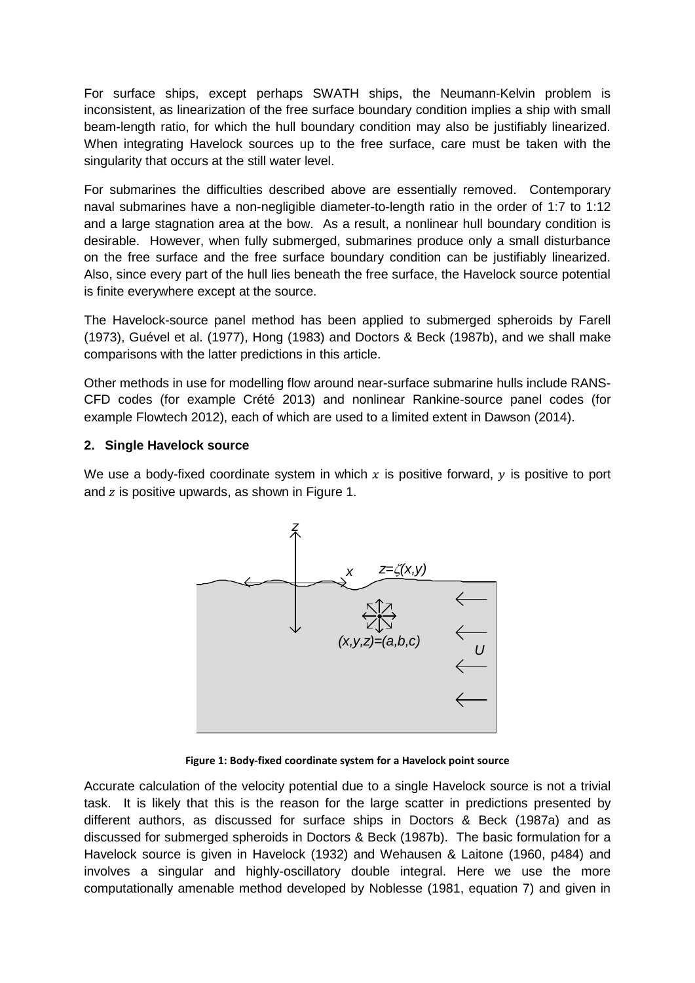For surface ships, except perhaps SWATH ships, the Neumann-Kelvin problem is inconsistent, as linearization of the free surface boundary condition implies a ship with small beam-length ratio, for which the hull boundary condition may also be justifiably linearized. When integrating Havelock sources up to the free surface, care must be taken with the singularity that occurs at the still water level.

For submarines the difficulties described above are essentially removed. Contemporary naval submarines have a non-negligible diameter-to-length ratio in the order of 1:7 to 1:12 and a large stagnation area at the bow. As a result, a nonlinear hull boundary condition is desirable. However, when fully submerged, submarines produce only a small disturbance on the free surface and the free surface boundary condition can be justifiably linearized. Also, since every part of the hull lies beneath the free surface, the Havelock source potential is finite everywhere except at the source.

The Havelock-source panel method has been applied to submerged spheroids by Farell (1973), Guével et al. (1977), Hong (1983) and Doctors & Beck (1987b), and we shall make comparisons with the latter predictions in this article.

Other methods in use for modelling flow around near-surface submarine hulls include RANS-CFD codes (for example Crété 2013) and nonlinear Rankine-source panel codes (for example Flowtech 2012), each of which are used to a limited extent in Dawson (2014).

### **2. Single Havelock source**

We use a body-fixed coordinate system in which  $x$  is positive forward,  $y$  is positive to port and  $z$  is positive upwards, as shown in [Figure 1.](#page-1-0)



**Figure 1: Body-fixed coordinate system for a Havelock point source**

<span id="page-1-0"></span>Accurate calculation of the velocity potential due to a single Havelock source is not a trivial task. It is likely that this is the reason for the large scatter in predictions presented by different authors, as discussed for surface ships in Doctors & Beck (1987a) and as discussed for submerged spheroids in Doctors & Beck (1987b). The basic formulation for a Havelock source is given in Havelock (1932) and Wehausen & Laitone (1960, p484) and involves a singular and highly-oscillatory double integral. Here we use the more computationally amenable method developed by Noblesse (1981, equation 7) and given in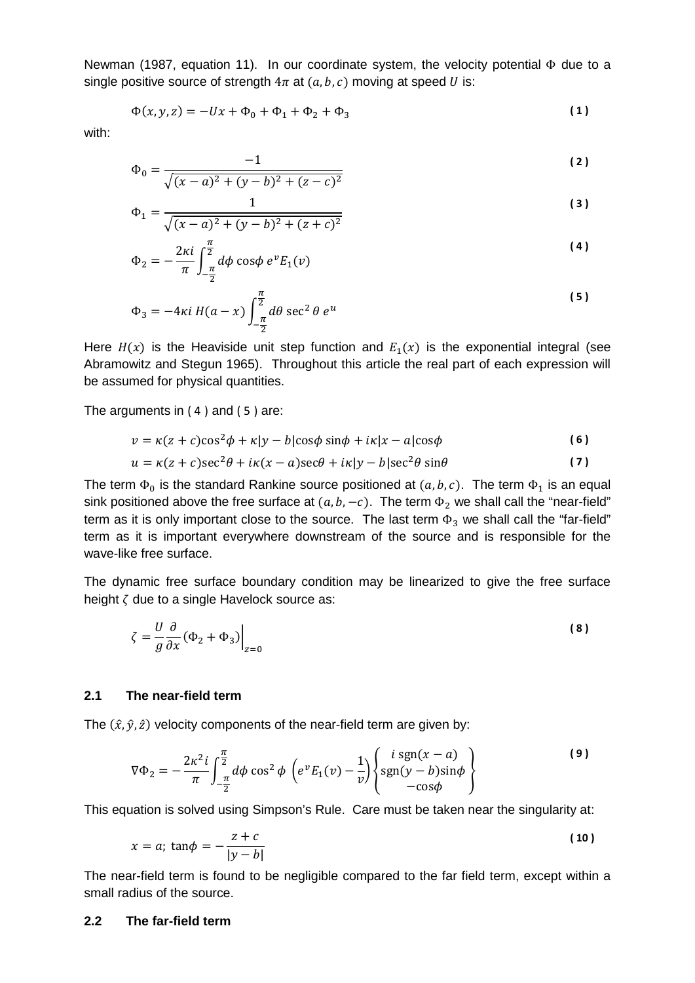Newman (1987, equation 11). In our coordinate system, the velocity potential Φ due to a single positive source of strength  $4\pi$  at  $(a, b, c)$  moving at speed U is:

<span id="page-2-3"></span>
$$
\Phi(x, y, z) = -Ux + \Phi_0 + \Phi_1 + \Phi_2 + \Phi_3 \tag{1}
$$

with:

$$
\Phi_0 = \frac{-1}{\sqrt{(x-a)^2 + (y-b)^2 + (z-c)^2}}
$$
\n(2)

$$
\Phi_1 = \frac{1}{\sqrt{(x-a)^2 + (y-b)^2 + (z+c)^2}}
$$
\n(3)

<span id="page-2-0"></span>
$$
\Phi_2 = -\frac{2\kappa i}{\pi} \int_{-\frac{\pi}{2}}^{\frac{\pi}{2}} d\phi \cos\phi \ e^{\nu} E_1(\nu) \tag{4}
$$

<span id="page-2-1"></span>
$$
\Phi_3 = -4\kappa i H(a-x) \int_{-\frac{\pi}{2}}^{\frac{\pi}{2}} d\theta \sec^2 \theta e^u
$$
\n(5)

Here  $H(x)$  is the Heaviside unit step function and  $E_1(x)$  is the exponential integral (see Abramowitz and Stegun 1965). Throughout this article the real part of each expression will be assumed for physical quantities.

The arguments in  $(4)$  and  $(5)$  are:

$$
v = \kappa(z + c)\cos^2\phi + \kappa|y - b|\cos\phi\sin\phi + i\kappa|x - a|\cos\phi
$$
 (6)

<span id="page-2-2"></span>
$$
u = \kappa(z + c)\sec^2\theta + i\kappa(x - a)\sec\theta + i\kappa|y - b|\sec^2\theta\sin\theta
$$
 (7)

The term  $\Phi_0$  is the standard Rankine source positioned at  $(a, b, c)$ . The term  $\Phi_1$  is an equal sink positioned above the free surface at  $(a, b, -c)$ . The term  $\Phi_2$  we shall call the "near-field" term as it is only important close to the source. The last term  $\Phi_3$  we shall call the "far-field" term as it is important everywhere downstream of the source and is responsible for the wave-like free surface.

The dynamic free surface boundary condition may be linearized to give the free surface height  $\zeta$  due to a single Havelock source as:

<span id="page-2-4"></span>
$$
\zeta = \frac{U}{g} \frac{\partial}{\partial x} (\Phi_2 + \Phi_3) \Big|_{z=0}
$$
 (8)

### **2.1 The near-field term**

The  $(\hat{x}, \hat{y}, \hat{z})$  velocity components of the near-field term are given by:

$$
\nabla \Phi_2 = -\frac{2\kappa^2 i}{\pi} \int_{-\frac{\pi}{2}}^{\frac{\pi}{2}} d\phi \cos^2 \phi \left( e^{\nu} E_1(\nu) - \frac{1}{\nu} \right) \begin{cases} i \text{ sgn}(x - a) \\ \text{sgn}(y - b) \sin \phi \\ -\cos \phi \end{cases}
$$
 (9)

This equation is solved using Simpson's Rule. Care must be taken near the singularity at:

$$
x = a; \tan \phi = -\frac{z+c}{|y-b|} \tag{10}
$$

The near-field term is found to be negligible compared to the far field term, except within a small radius of the source.

#### **2.2 The far-field term**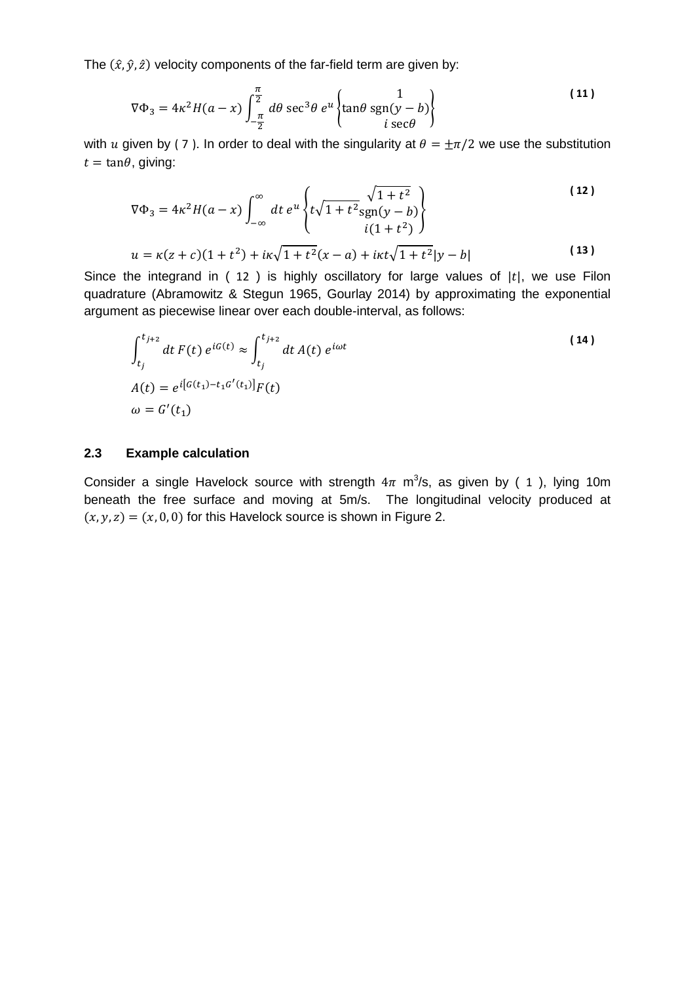The  $(\hat{x}, \hat{y}, \hat{z})$  velocity components of the far-field term are given by:

$$
\nabla \Phi_3 = 4\kappa^2 H(a-x) \int_{-\frac{\pi}{2}}^{\frac{\pi}{2}} d\theta \sec^3 \theta \, e^u \left\{ \tan \theta \, \text{sgn}(y-b) \right\} \tag{11}
$$

with u given by (7). In order to deal with the singularity at  $\theta = \pm \pi/2$  we use the substitution  $t = \tan \theta$ , giving:

<span id="page-3-0"></span>
$$
\nabla \Phi_3 = 4\kappa^2 H(a - x) \int_{-\infty}^{\infty} dt \, e^u \left\{ t\sqrt{1 + t^2} \frac{\sqrt{1 + t^2}}{\text{sgn}(y - b)} \right\}
$$
\n
$$
u = \kappa (z + c)(1 + t^2) + i\kappa \sqrt{1 + t^2} (x - a) + i\kappa t \sqrt{1 + t^2} |y - b|
$$
\n(13)

Since the integrand in (  $12$  ) is highly oscillatory for large values of  $|t|$ , we use Filon quadrature (Abramowitz & Stegun 1965, Gourlay 2014) by approximating the exponential argument as piecewise linear over each double-interval, as follows:

$$
\int_{t_j}^{t_{j+2}} dt F(t) e^{iG(t)} \approx \int_{t_j}^{t_{j+2}} dt A(t) e^{i\omega t}
$$
\n
$$
A(t) = e^{i[G(t_1) - t_1 G'(t_1)]} F(t)
$$
\n
$$
\omega = G'(t_1)
$$
\n(14)

#### **2.3 Example calculation**

Consider a single Havelock source with strength  $4\pi$  m<sup>3</sup>/s, as given by (1), lying 10m beneath the free surface and moving at 5m/s. The longitudinal velocity produced at  $(x, y, z) = (x, 0, 0)$  for this Havelock source is shown in Figure 2.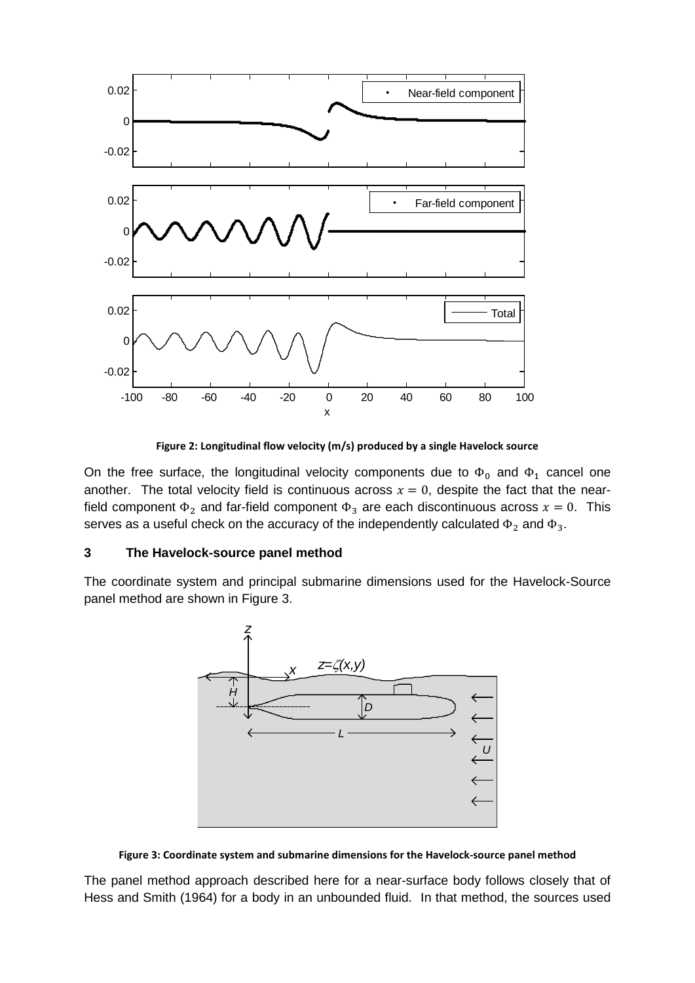

**Figure 2: Longitudinal flow velocity (m/s) produced by a single Havelock source**

On the free surface, the longitudinal velocity components due to  $\Phi_0$  and  $\Phi_1$  cancel one another. The total velocity field is continuous across  $x = 0$ , despite the fact that the nearfield component  $\Phi_2$  and far-field component  $\Phi_3$  are each discontinuous across  $x = 0$ . This serves as a useful check on the accuracy of the independently calculated  $\Phi_2$  and  $\Phi_3$ .

## **3 The Havelock-source panel method**

The coordinate system and principal submarine dimensions used for the Havelock-Source panel method are shown in [Figure 3.](#page-4-0)



**Figure 3: Coordinate system and submarine dimensions for the Havelock-source panel method**

<span id="page-4-0"></span>The panel method approach described here for a near-surface body follows closely that of Hess and Smith (1964) for a body in an unbounded fluid. In that method, the sources used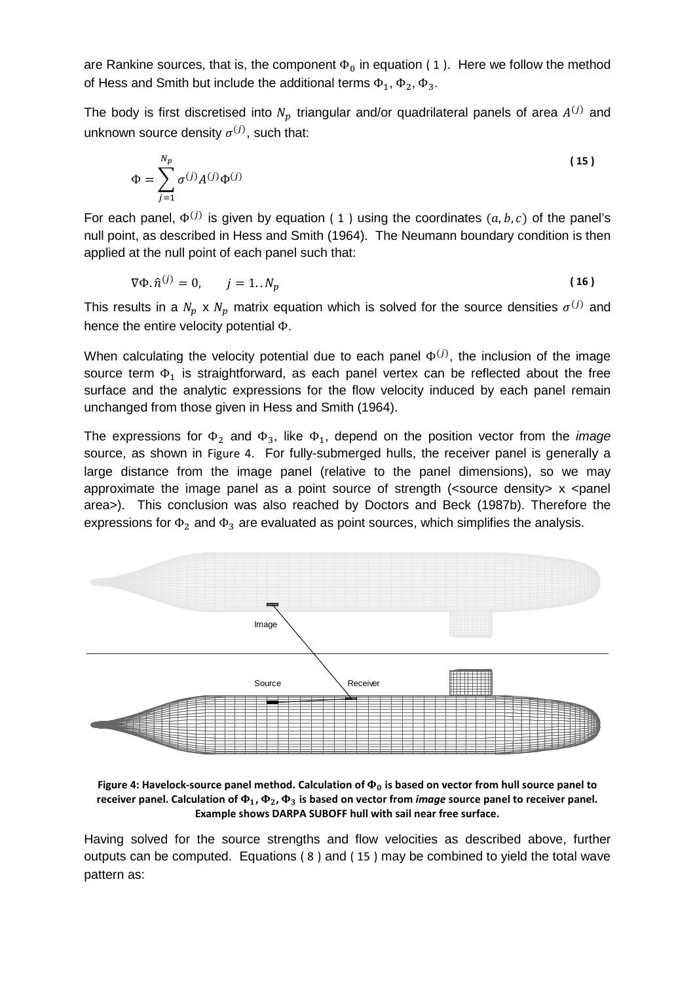are Rankine sources, that is, the component  $\Phi_0$  in equation (1). Here we follow the method of Hess and Smith but include the additional terms  $\Phi_1$ ,  $\Phi_2$ ,  $\Phi_3$ .

The body is first discretised into  $N_p$  triangular and/or quadrilateral panels of area  $A^{(j)}$  and unknown source density  $\sigma^{(j)}$ , such that:

<span id="page-5-0"></span>
$$
\Phi = \sum_{j=1}^{N_p} \sigma^{(j)} A^{(j)} \Phi^{(j)} \tag{15}
$$

For each panel,  $\Phi^{(j)}$  is given by equation (1) using the coordinates  $(a, b, c)$  of the panel's null point, as described in Hess and Smith (1964). The Neumann boundary condition is then applied at the null point of each panel such that:

$$
\nabla \Phi. \hat{n}^{(j)} = 0, \qquad j = 1..N_p \tag{16}
$$

This results in a  $N_p \times N_p$  matrix equation which is solved for the source densities  $\sigma^{(j)}$  and hence the entire velocity potential Φ.

When calculating the velocity potential due to each panel  $\Phi^{(J)}$ , the inclusion of the image source term  $\Phi_1$  is straightforward, as each panel vertex can be reflected about the free surface and the analytic expressions for the flow velocity induced by each panel remain unchanged from those given in Hess and Smith (1964).

The expressions for  $\Phi_2$  and  $\Phi_3$ , like  $\Phi_1$ , depend on the position vector from the *image* source, as shown in Figure 4. For fully-submerged hulls, the receiver panel is generally a large distance from the image panel (relative to the panel dimensions), so we may approximate the image panel as a point source of strength (<source density> x <panel area>). This conclusion was also reached by Doctors and Beck (1987b). Therefore the expressions for  $\Phi_2$  and  $\Phi_3$  are evaluated as point sources, which simplifies the analysis.



<span id="page-5-1"></span>Figure 4: Havelock-source panel method. Calculation of  $\Phi_0$  is based on vector from hull source panel to receiver panel. Calculation of  $\Phi_1$ ,  $\Phi_2$ ,  $\Phi_3$  is based on vector from *image* source panel to receiver panel. **Example shows DARPA SUBOFF hull with sail near free surface.** 

Having solved for the source strengths and flow velocities as described above, further outputs can be computed. Equations [\( 8](#page-2-4) ) and [\( 15](#page-5-0) ) may be combined to yield the total wave pattern as: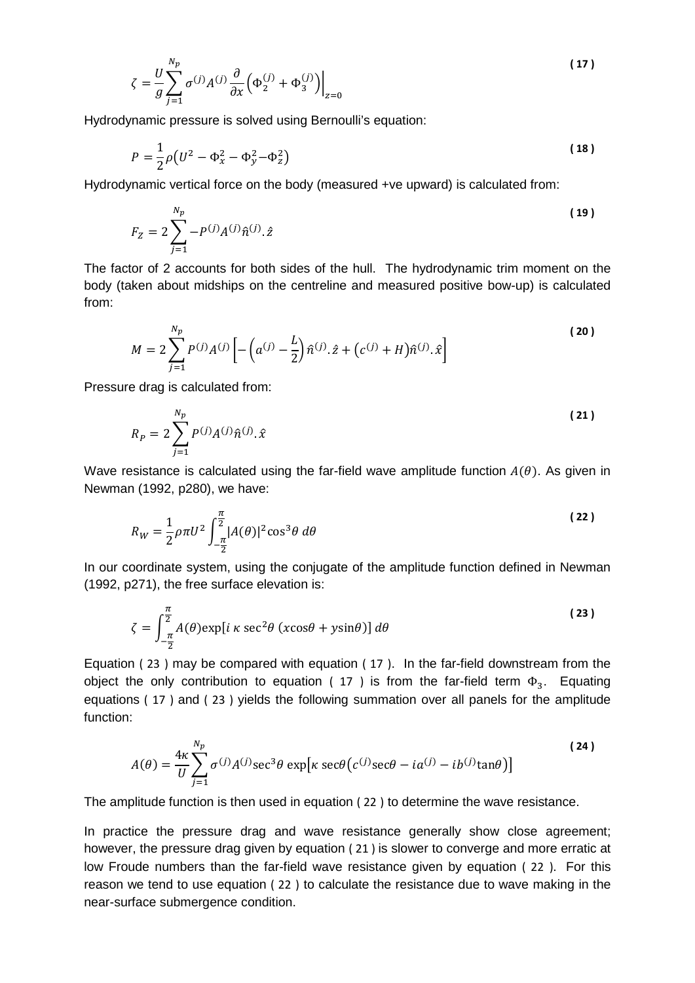<span id="page-6-1"></span>
$$
\zeta = \frac{U}{g} \sum_{j=1}^{N_p} \sigma^{(j)} A^{(j)} \frac{\partial}{\partial x} \Big( \Phi_2^{(j)} + \Phi_3^{(j)} \Big) \Big|_{z=0}
$$
 (17)

Hydrodynamic pressure is solved using Bernoulli's equation:

$$
P = \frac{1}{2}\rho(U^2 - \Phi_x^2 - \Phi_y^2 - \Phi_z^2)
$$
 (18)

Hydrodynamic vertical force on the body (measured +ve upward) is calculated from:

$$
F_Z = 2\sum_{j=1}^{N_p} -P^{(j)}A^{(j)}\hat{n}^{(j)}.\hat{z}
$$
 (19)

The factor of 2 accounts for both sides of the hull. The hydrodynamic trim moment on the body (taken about midships on the centreline and measured positive bow-up) is calculated from:

$$
M = 2\sum_{j=1}^{N_p} P^{(j)} A^{(j)} \left[ -\left( a^{(j)} - \frac{L}{2} \right) \hat{n}^{(j)} \cdot \hat{z} + \left( c^{(j)} + H \right) \hat{n}^{(j)} \cdot \hat{x} \right]
$$
(20)

Pressure drag is calculated from:

$$
R_P = 2 \sum_{j=1}^{N_P} P^{(j)} A^{(j)} \hat{n}^{(j)} \cdot \hat{x}
$$
 (21)

Wave resistance is calculated using the far-field wave amplitude function  $A(\theta)$ . As given in Newman (1992, p280), we have:

<span id="page-6-2"></span>
$$
R_W = \frac{1}{2}\rho \pi U^2 \int_{-\frac{\pi}{2}}^{\frac{\pi}{2}} |A(\theta)|^2 \cos^3 \theta \ d\theta
$$
 (22)

In our coordinate system, using the conjugate of the amplitude function defined in Newman (1992, p271), the free surface elevation is:

<span id="page-6-0"></span>
$$
\zeta = \int_{-\frac{\pi}{2}}^{\frac{\pi}{2}} A(\theta) \exp[i \kappa \sec^2 \theta (\csc \theta + y \sin \theta)] d\theta
$$
 (23)

Equation [\( 23](#page-6-0) ) may be compared with equation [\( 17](#page-6-1) ). In the far-field downstream from the object the only contribution to equation [\( 17](#page-6-1) ) is from the far-field term  $\Phi_3$ . Equating equations [\( 17](#page-6-1) ) and [\( 23](#page-6-0) ) yields the following summation over all panels for the amplitude function:

$$
A(\theta) = \frac{4\kappa}{U} \sum_{j=1}^{N_p} \sigma^{(j)} A^{(j)} \sec^3 \theta \exp[\kappa \sec \theta (c^{(j)} \sec \theta - i a^{(j)} - ib^{(j)} \tan \theta)]
$$
 (24)

The amplitude function is then used in equation [\( 22](#page-6-2) ) to determine the wave resistance.

In practice the pressure drag and wave resistance generally show close agreement; however, the pressure drag given by equation ( 21 ) is slower to converge and more erratic at low Froude numbers than the far-field wave resistance given by equation [\( 22](#page-6-2) ). For this reason we tend to use equation [\( 22](#page-6-2) ) to calculate the resistance due to wave making in the near-surface submergence condition.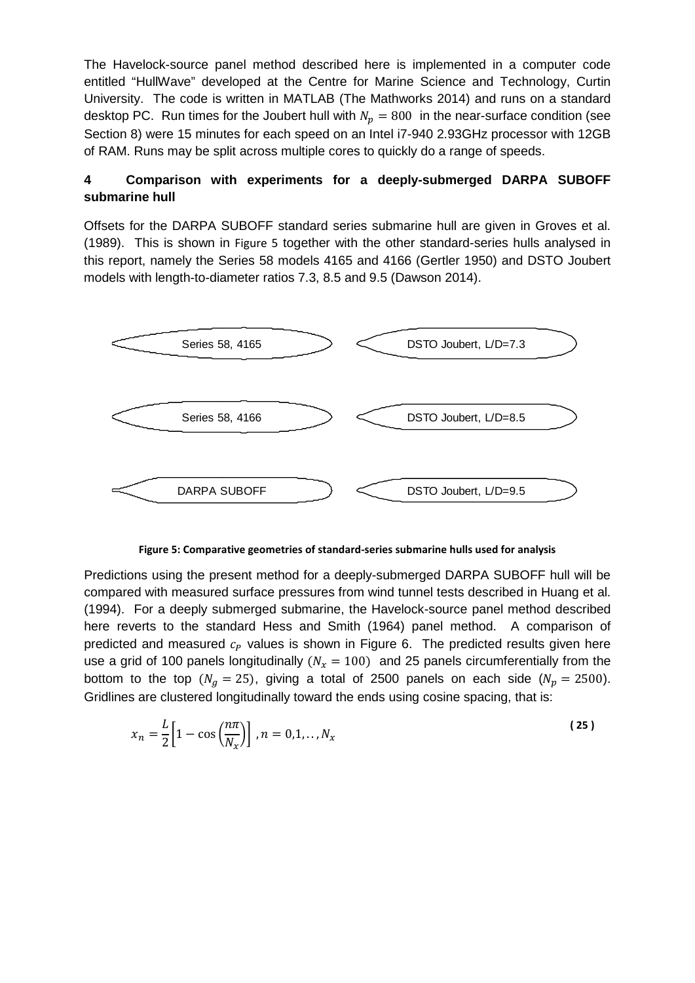The Havelock-source panel method described here is implemented in a computer code entitled "HullWave" developed at the Centre for Marine Science and Technology, Curtin University. The code is written in MATLAB (The Mathworks 2014) and runs on a standard desktop PC. Run times for the Joubert hull with  $N_p = 800$  in the near-surface condition (see Section 8) were 15 minutes for each speed on an Intel i7-940 2.93GHz processor with 12GB of RAM. Runs may be split across multiple cores to quickly do a range of speeds.

## **4 Comparison with experiments for a deeply-submerged DARPA SUBOFF submarine hull**

Offsets for the DARPA SUBOFF standard series submarine hull are given in Groves et al. (1989). This is shown in [Figure 5](#page-7-0) together with the other standard-series hulls analysed in this report, namely the Series 58 models 4165 and 4166 (Gertler 1950) and DSTO Joubert models with length-to-diameter ratios 7.3, 8.5 and 9.5 (Dawson 2014).



**Figure 5: Comparative geometries of standard-series submarine hulls used for analysis**

<span id="page-7-0"></span>Predictions using the present method for a deeply-submerged DARPA SUBOFF hull will be compared with measured surface pressures from wind tunnel tests described in Huang et al. (1994). For a deeply submerged submarine, the Havelock-source panel method described here reverts to the standard Hess and Smith (1964) panel method. A comparison of predicted and measured  $c<sub>p</sub>$  values is shown in [Figure 6.](#page-8-0) The predicted results given here use a grid of 100 panels longitudinally ( $N_x = 100$ ) and 25 panels circumferentially from the bottom to the top ( $N_g = 25$ ), giving a total of 2500 panels on each side ( $N_p = 2500$ ). Gridlines are clustered longitudinally toward the ends using cosine spacing, that is:

<span id="page-7-1"></span>
$$
x_n = \frac{L}{2} \Big[ 1 - \cos\left(\frac{n\pi}{N_x}\right) \Big], n = 0, 1, \dots, N_x \tag{25}
$$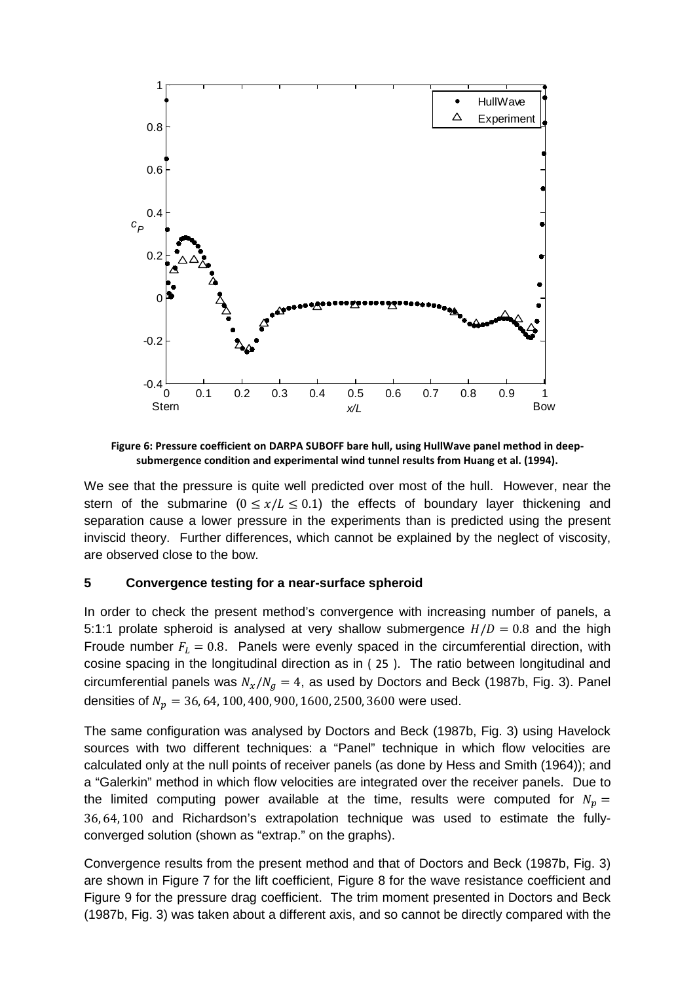

<span id="page-8-0"></span>**Figure 6: Pressure coefficient on DARPA SUBOFF bare hull, using HullWave panel method in deepsubmergence condition and experimental wind tunnel results from Huang et al. (1994).**

We see that the pressure is quite well predicted over most of the hull. However, near the stern of the submarine ( $0 \le x/L \le 0.1$ ) the effects of boundary layer thickening and separation cause a lower pressure in the experiments than is predicted using the present inviscid theory. Further differences, which cannot be explained by the neglect of viscosity, are observed close to the bow.

#### **5 Convergence testing for a near-surface spheroid**

In order to check the present method's convergence with increasing number of panels, a 5:1:1 prolate spheroid is analysed at very shallow submergence  $H/D = 0.8$  and the high Froude number  $F_L = 0.8$ . Panels were evenly spaced in the circumferential direction, with cosine spacing in the longitudinal direction as in [\( 25](#page-7-1) ). The ratio between longitudinal and circumferential panels was  $N_x / N_a = 4$ , as used by Doctors and Beck (1987b, Fig. 3). Panel densities of  $N_p = 36, 64, 100, 400, 900, 1600, 2500, 3600$  were used.

The same configuration was analysed by Doctors and Beck (1987b, Fig. 3) using Havelock sources with two different techniques: a "Panel" technique in which flow velocities are calculated only at the null points of receiver panels (as done by Hess and Smith (1964)); and a "Galerkin" method in which flow velocities are integrated over the receiver panels. Due to the limited computing power available at the time, results were computed for  $N_n =$ 36, 64, 100 and Richardson's extrapolation technique was used to estimate the fullyconverged solution (shown as "extrap." on the graphs).

Convergence results from the present method and that of Doctors and Beck (1987b, Fig. 3) are shown in [Figure 7](#page-9-0) for the lift coefficient, [Figure 8](#page-10-0) for the wave resistance coefficient and [Figure 9](#page-10-1) for the pressure drag coefficient. The trim moment presented in Doctors and Beck (1987b, Fig. 3) was taken about a different axis, and so cannot be directly compared with the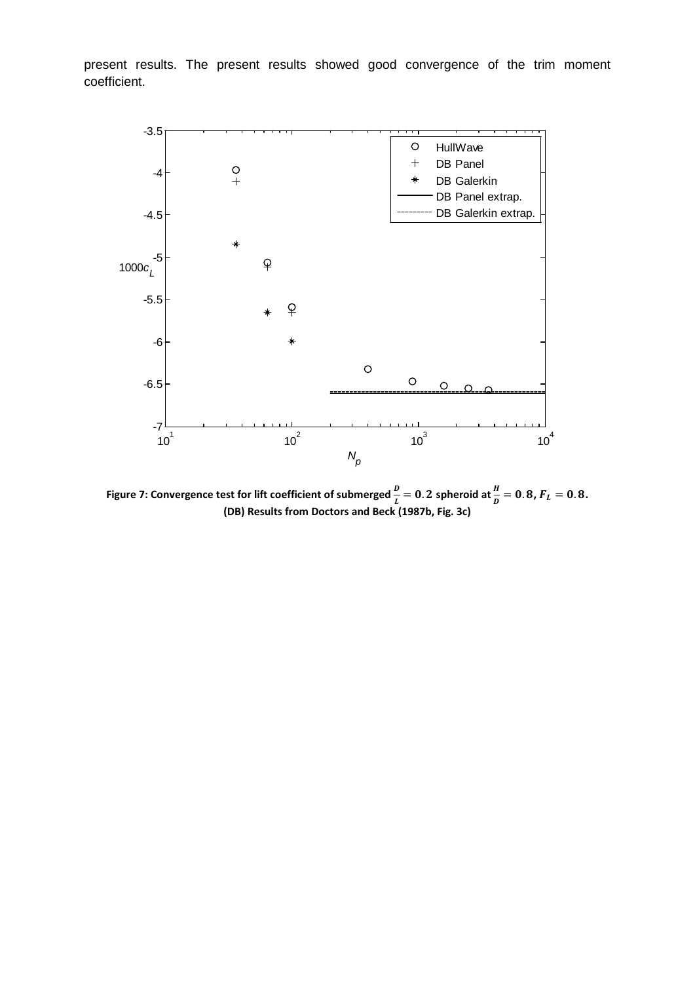present results. The present results showed good convergence of the trim moment coefficient.



<span id="page-9-0"></span>**Figure 7: Convergence test for lift coefficient of submerged**  $\frac{b}{L} = 0.2$  **spheroid at**  $\frac{h}{D} = 0.8$ **,**  $F_L = 0.8$ **. (DB) Results from Doctors and Beck (1987b, Fig. 3c)**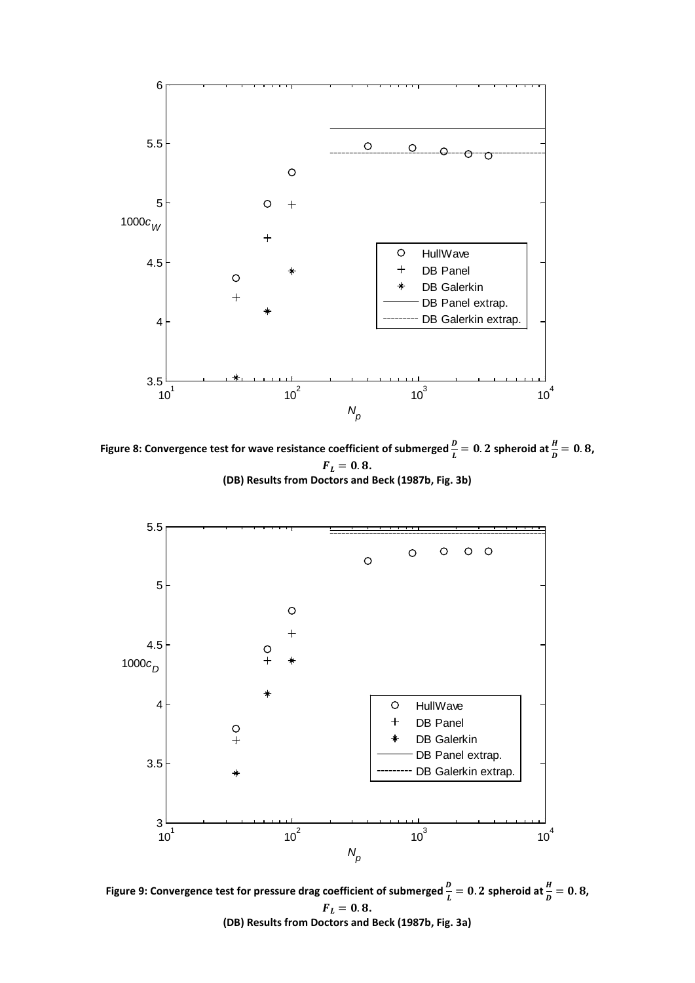

<span id="page-10-0"></span>**Figure 8: Convergence test for wave resistance coefficient of submerged**  $\frac{b}{L} = 0.2$  **spheroid at**  $\frac{h}{D} = 0.8$ **,**  $F_L = 0.8$ . **(DB) Results from Doctors and Beck (1987b, Fig. 3b)**



<span id="page-10-1"></span>Figure 9: Convergence test for pressure drag coefficient of submerged  $\frac{p}{L} = 0.2$  spheroid at  $\frac{H}{D} = 0.8$ ,  $F_L = 0.8$ . **(DB) Results from Doctors and Beck (1987b, Fig. 3a)**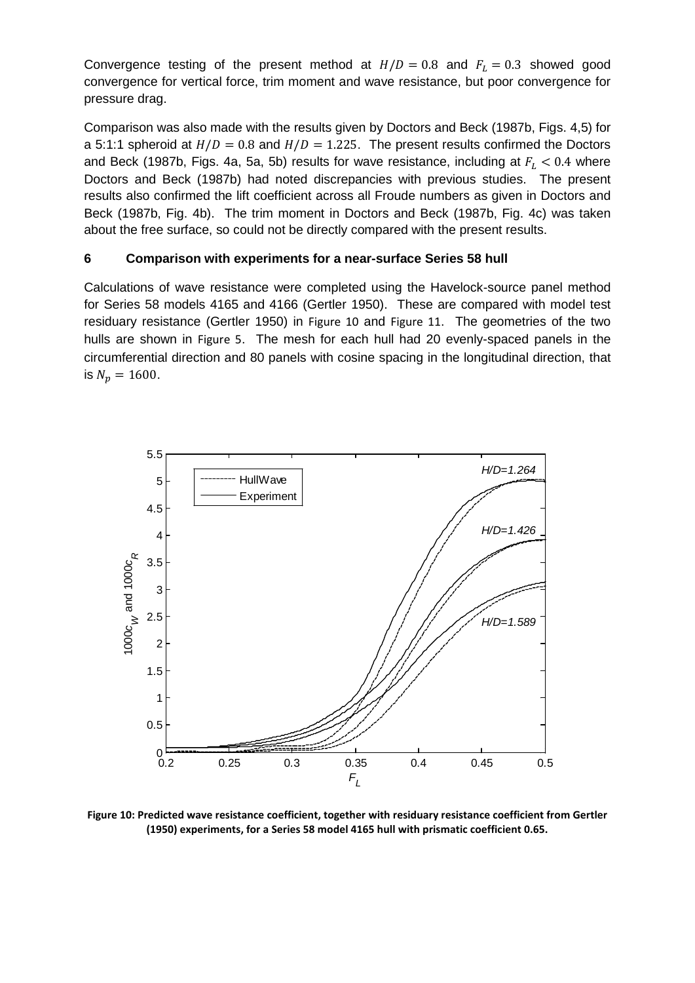Convergence testing of the present method at  $H/D = 0.8$  and  $F<sub>L</sub> = 0.3$  showed good convergence for vertical force, trim moment and wave resistance, but poor convergence for pressure drag.

Comparison was also made with the results given by Doctors and Beck (1987b, Figs. 4,5) for a 5:1:1 spheroid at  $H/D = 0.8$  and  $H/D = 1.225$ . The present results confirmed the Doctors and Beck (1987b, Figs. 4a, 5a, 5b) results for wave resistance, including at  $F_L < 0.4$  where Doctors and Beck (1987b) had noted discrepancies with previous studies. The present results also confirmed the lift coefficient across all Froude numbers as given in Doctors and Beck (1987b, Fig. 4b). The trim moment in Doctors and Beck (1987b, Fig. 4c) was taken about the free surface, so could not be directly compared with the present results.

### **6 Comparison with experiments for a near-surface Series 58 hull**

Calculations of wave resistance were completed using the Havelock-source panel method for Series 58 models 4165 and 4166 (Gertler 1950). These are compared with model test residuary resistance (Gertler 1950) in [Figure 10](#page-11-0) and [Figure 11](#page-12-0). The geometries of the two hulls are shown in [Figure 5](#page-7-0). The mesh for each hull had 20 evenly-spaced panels in the circumferential direction and 80 panels with cosine spacing in the longitudinal direction, that is  $N_p = 1600$ .



<span id="page-11-0"></span>**Figure 10: Predicted wave resistance coefficient, together with residuary resistance coefficient from Gertler (1950) experiments, for a Series 58 model 4165 hull with prismatic coefficient 0.65.**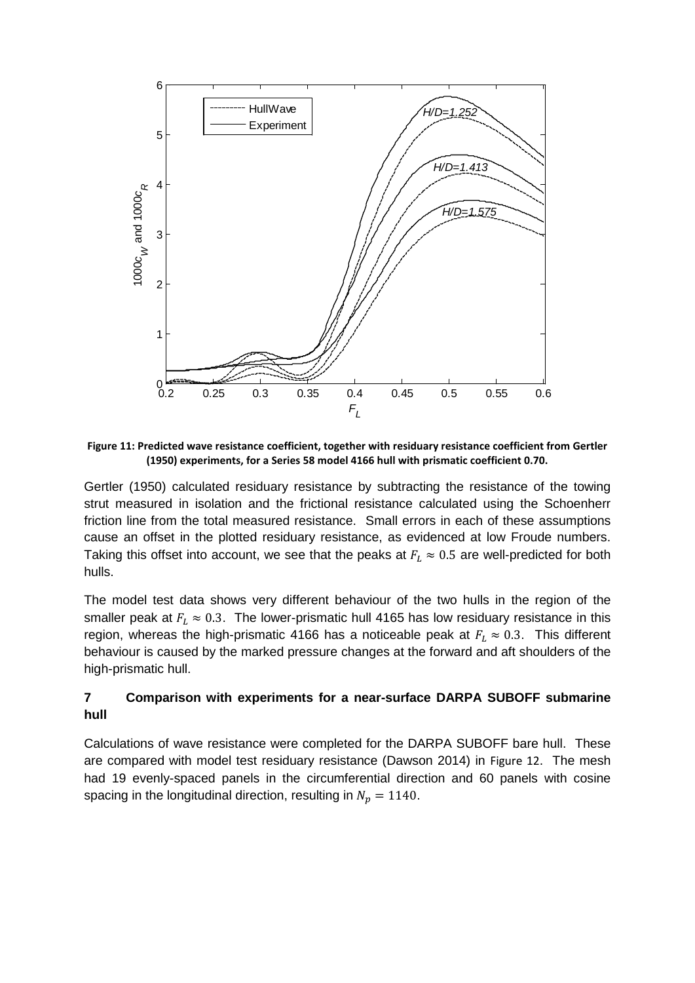

<span id="page-12-0"></span>**Figure 11: Predicted wave resistance coefficient, together with residuary resistance coefficient from Gertler (1950) experiments, for a Series 58 model 4166 hull with prismatic coefficient 0.70.**

Gertler (1950) calculated residuary resistance by subtracting the resistance of the towing strut measured in isolation and the frictional resistance calculated using the Schoenherr friction line from the total measured resistance. Small errors in each of these assumptions cause an offset in the plotted residuary resistance, as evidenced at low Froude numbers. Taking this offset into account, we see that the peaks at  $F_L \approx 0.5$  are well-predicted for both hulls.

The model test data shows very different behaviour of the two hulls in the region of the smaller peak at  $F_L \approx 0.3$ . The lower-prismatic hull 4165 has low residuary resistance in this region, whereas the high-prismatic 4166 has a noticeable peak at  $F_L \approx 0.3$ . This different behaviour is caused by the marked pressure changes at the forward and aft shoulders of the high-prismatic hull.

### **7 Comparison with experiments for a near-surface DARPA SUBOFF submarine hull**

Calculations of wave resistance were completed for the DARPA SUBOFF bare hull. These are compared with model test residuary resistance (Dawson 2014) in [Figure 12](#page-13-0). The mesh had 19 evenly-spaced panels in the circumferential direction and 60 panels with cosine spacing in the longitudinal direction, resulting in  $N_p = 1140$ .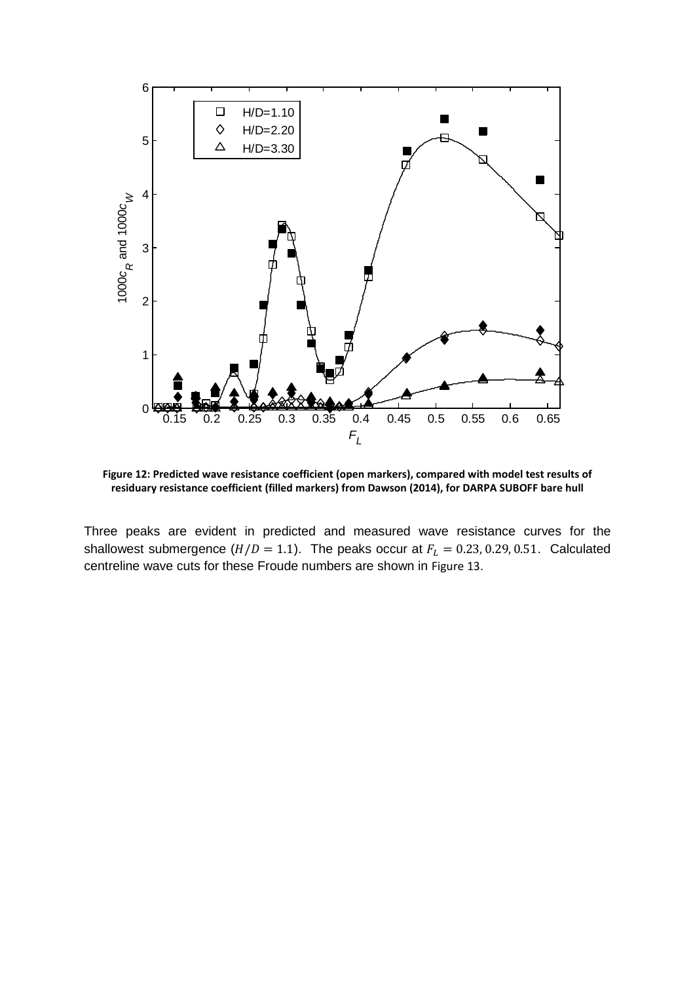

<span id="page-13-0"></span>**Figure 12: Predicted wave resistance coefficient (open markers), compared with model test results of residuary resistance coefficient (filled markers) from Dawson (2014), for DARPA SUBOFF bare hull**

Three peaks are evident in predicted and measured wave resistance curves for the shallowest submergence  $(H/D = 1.1)$ . The peaks occur at  $F_L = 0.23, 0.29, 0.51$ . Calculated centreline wave cuts for these Froude numbers are shown in [Figure 13](#page-14-0).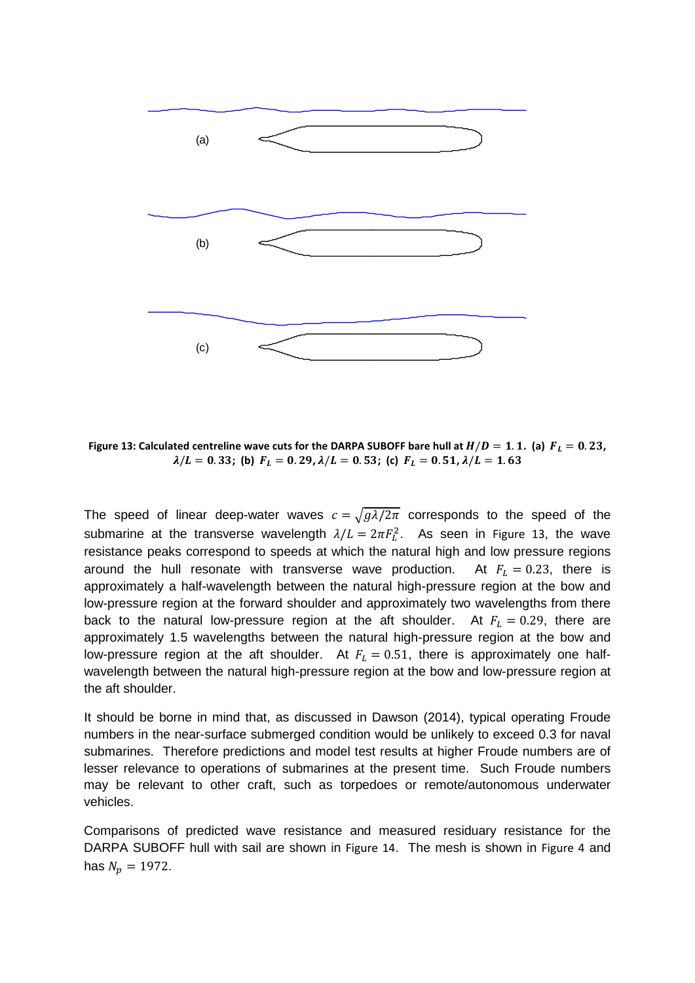

<span id="page-14-0"></span>Figure 13: Calculated centreline wave cuts for the DARPA SUBOFF bare hull at  $H/D = 1.1$ . (a)  $F_L = 0.23$ ,  $\lambda/L = 0.33$ ; (b)  $F_L = 0.29$ ,  $\lambda/L = 0.53$ ; (c)  $F_L = 0.51$ ,  $\lambda/L = 1.63$ 

The speed of linear deep-water waves  $c = \sqrt{g\lambda/2\pi}$  corresponds to the speed of the submarine at the transverse wavelength  $\lambda/L = 2\pi F_L^2$ . As seen in [Figure 13](#page-14-0), the wave resistance peaks correspond to speeds at which the natural high and low pressure regions around the hull resonate with transverse wave production. At  $F_L = 0.23$ , there is approximately a half-wavelength between the natural high-pressure region at the bow and low-pressure region at the forward shoulder and approximately two wavelengths from there back to the natural low-pressure region at the aft shoulder. At  $F_L = 0.29$ , there are approximately 1.5 wavelengths between the natural high-pressure region at the bow and low-pressure region at the aft shoulder. At  $F_L = 0.51$ , there is approximately one halfwavelength between the natural high-pressure region at the bow and low-pressure region at the aft shoulder.

It should be borne in mind that, as discussed in Dawson (2014), typical operating Froude numbers in the near-surface submerged condition would be unlikely to exceed 0.3 for naval submarines. Therefore predictions and model test results at higher Froude numbers are of lesser relevance to operations of submarines at the present time. Such Froude numbers may be relevant to other craft, such as torpedoes or remote/autonomous underwater vehicles.

Comparisons of predicted wave resistance and measured residuary resistance for the DARPA SUBOFF hull with sail are shown in [Figure 14](#page-15-0). The mesh is shown in [Figure 4](#page-5-1) and has  $N_p = 1972$ .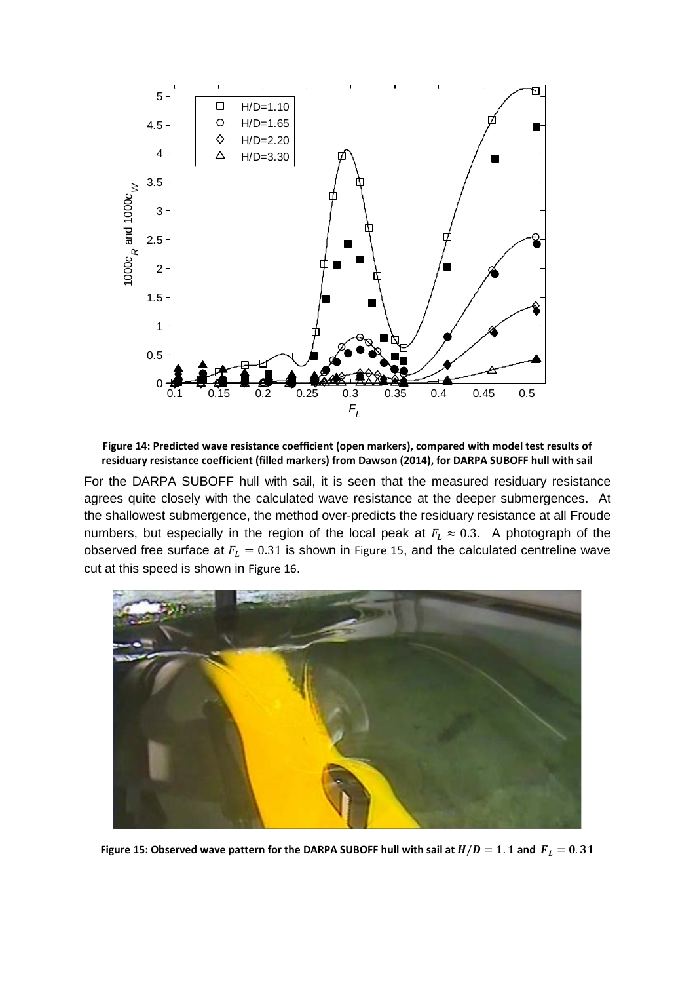

<span id="page-15-0"></span>**Figure 14: Predicted wave resistance coefficient (open markers), compared with model test results of residuary resistance coefficient (filled markers) from Dawson (2014), for DARPA SUBOFF hull with sail**

For the DARPA SUBOFF hull with sail, it is seen that the measured residuary resistance agrees quite closely with the calculated wave resistance at the deeper submergences. At the shallowest submergence, the method over-predicts the residuary resistance at all Froude numbers, but especially in the region of the local peak at  $F_L \approx 0.3$ . A photograph of the observed free surface at  $F_L = 0.31$  is shown in [Figure 15](#page-15-1), and the calculated centreline wave cut at this speed is shown in [Figure 16](#page-16-0).

<span id="page-15-1"></span>

Figure 15: Observed wave pattern for the DARPA SUBOFF hull with sail at  $H/D = 1.1$  and  $F_L = 0.31$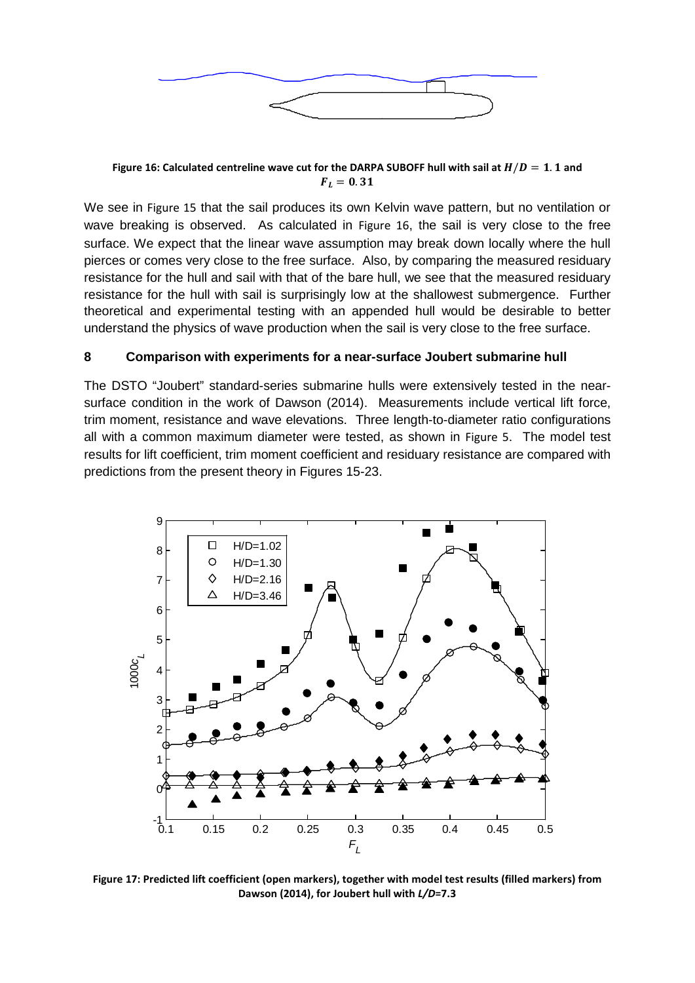

<span id="page-16-0"></span>Figure 16: Calculated centreline wave cut for the DARPA SUBOFF hull with sail at  $H/D = 1.1$  and  $F_L = 0.31$ 

We see in [Figure 15](#page-15-1) that the sail produces its own Kelvin wave pattern, but no ventilation or wave breaking is observed. As calculated in [Figure 16](#page-16-0), the sail is very close to the free surface. We expect that the linear wave assumption may break down locally where the hull pierces or comes very close to the free surface. Also, by comparing the measured residuary resistance for the hull and sail with that of the bare hull, we see that the measured residuary resistance for the hull with sail is surprisingly low at the shallowest submergence. Further theoretical and experimental testing with an appended hull would be desirable to better understand the physics of wave production when the sail is very close to the free surface.

#### **8 Comparison with experiments for a near-surface Joubert submarine hull**

The DSTO "Joubert" standard-series submarine hulls were extensively tested in the nearsurface condition in the work of Dawson (2014). Measurements include vertical lift force, trim moment, resistance and wave elevations. Three length-to-diameter ratio configurations all with a common maximum diameter were tested, as shown in [Figure 5](#page-7-0). The model test results for lift coefficient, trim moment coefficient and residuary resistance are compared with predictions from the present theory in Figures 15-23.



**Figure 17: Predicted lift coefficient (open markers), together with model test results (filled markers) from Dawson (2014), for Joubert hull with** *L/D***=7.3**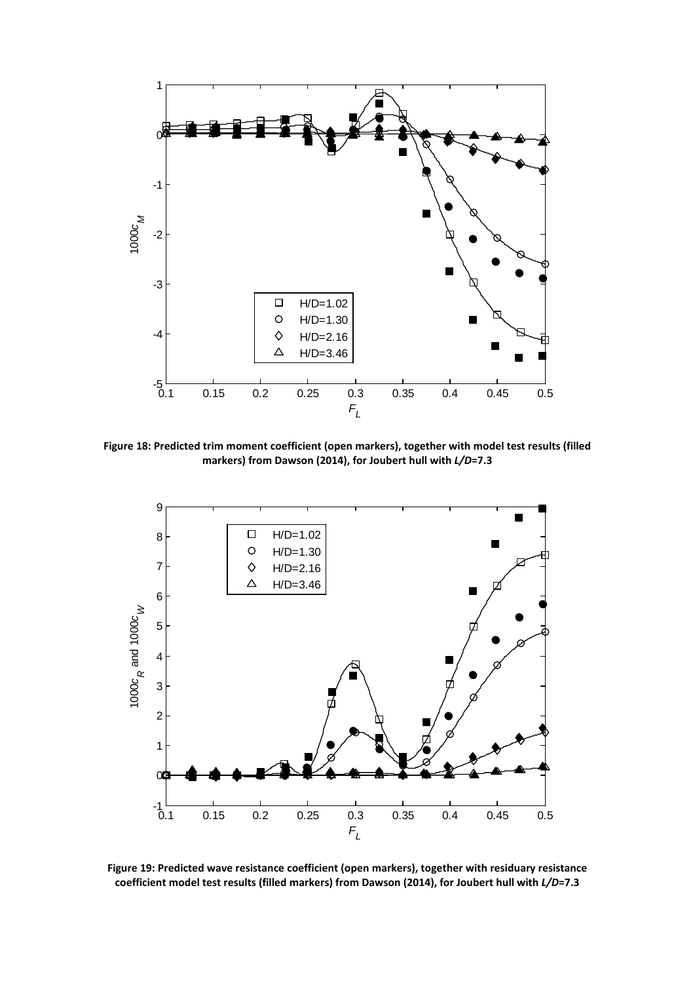

**Figure 18: Predicted trim moment coefficient (open markers), together with model test results (filled markers) from Dawson (2014), for Joubert hull with** *L/D***=7.3**



**Figure 19: Predicted wave resistance coefficient (open markers), together with residuary resistance coefficient model test results (filled markers) from Dawson (2014), for Joubert hull with** *L/D***=7.3**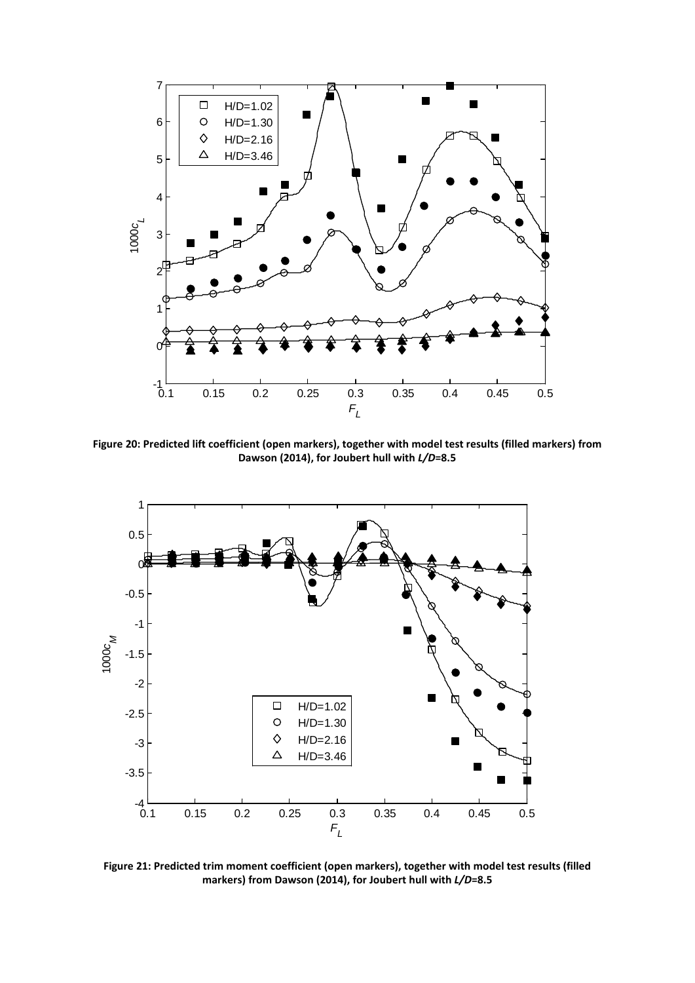

**Figure 20: Predicted lift coefficient (open markers), together with model test results (filled markers) from Dawson (2014), for Joubert hull with** *L/D***=8.5**



**Figure 21: Predicted trim moment coefficient (open markers), together with model test results (filled markers) from Dawson (2014), for Joubert hull with** *L/D***=8.5**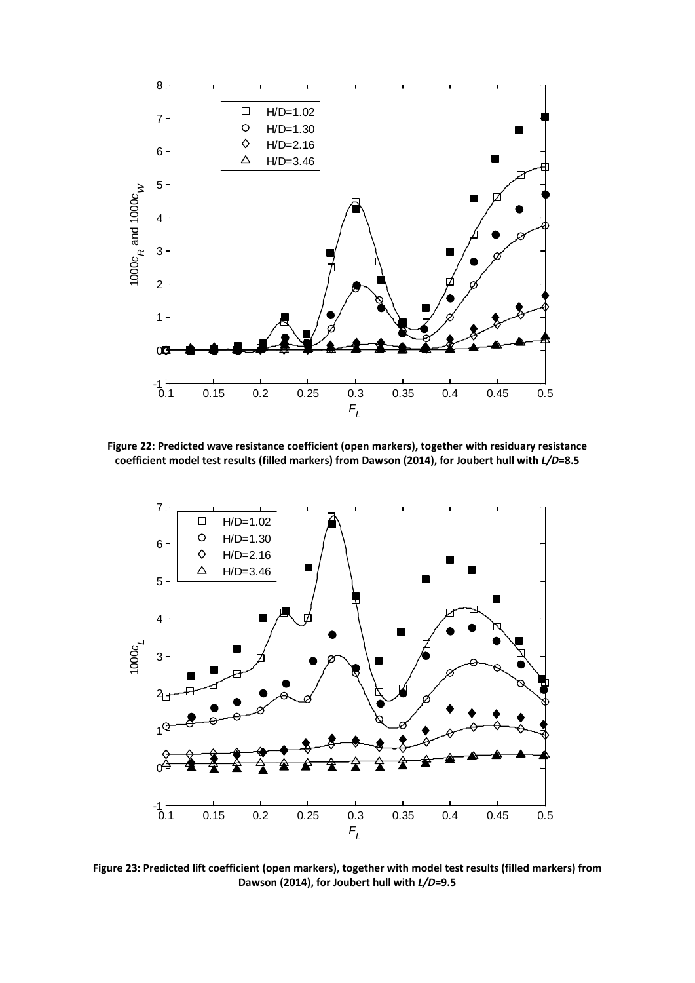

**Figure 22: Predicted wave resistance coefficient (open markers), together with residuary resistance coefficient model test results (filled markers) from Dawson (2014), for Joubert hull with** *L/D***=8.5**



**Figure 23: Predicted lift coefficient (open markers), together with model test results (filled markers) from Dawson (2014), for Joubert hull with** *L/D***=9.5**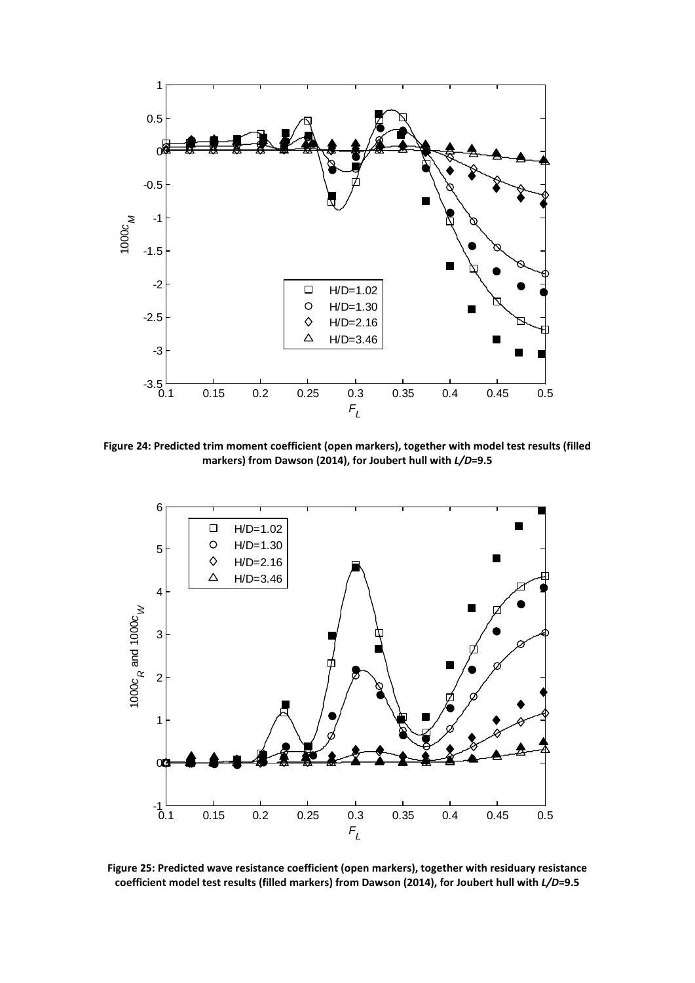

**Figure 24: Predicted trim moment coefficient (open markers), together with model test results (filled markers) from Dawson (2014), for Joubert hull with** *L/D***=9.5**



**Figure 25: Predicted wave resistance coefficient (open markers), together with residuary resistance coefficient model test results (filled markers) from Dawson (2014), for Joubert hull with** *L/D***=9.5**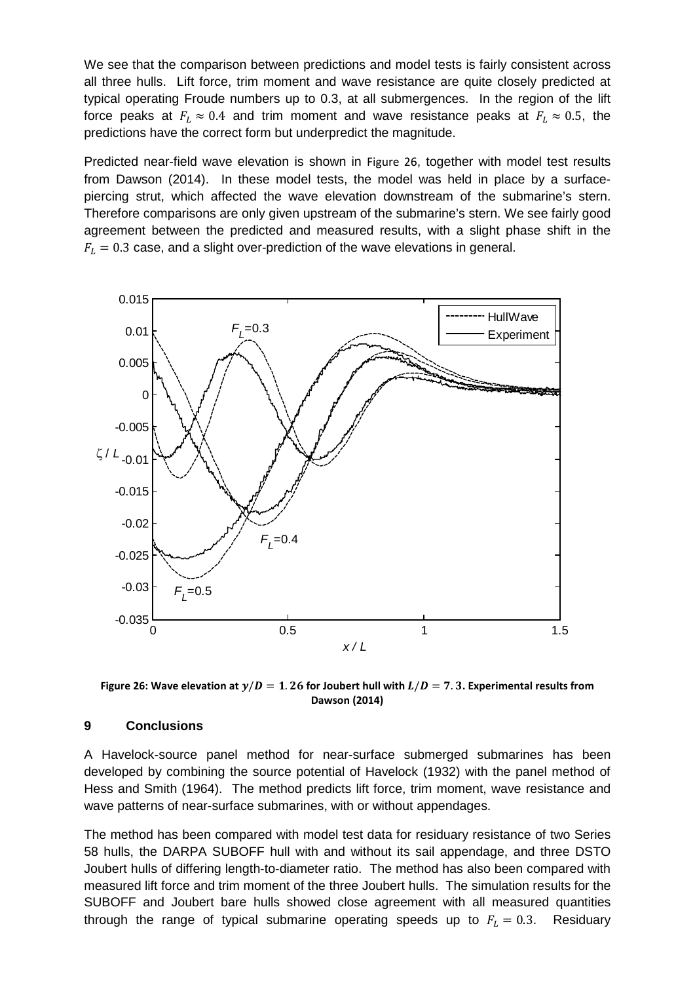We see that the comparison between predictions and model tests is fairly consistent across all three hulls. Lift force, trim moment and wave resistance are quite closely predicted at typical operating Froude numbers up to 0.3, at all submergences. In the region of the lift force peaks at  $F_L \approx 0.4$  and trim moment and wave resistance peaks at  $F_L \approx 0.5$ , the predictions have the correct form but underpredict the magnitude.

Predicted near-field wave elevation is shown in [Figure 26](#page-21-0), together with model test results from Dawson (2014). In these model tests, the model was held in place by a surfacepiercing strut, which affected the wave elevation downstream of the submarine's stern. Therefore comparisons are only given upstream of the submarine's stern. We see fairly good agreement between the predicted and measured results, with a slight phase shift in the  $F_L = 0.3$  case, and a slight over-prediction of the wave elevations in general.



<span id="page-21-0"></span>Figure 26: Wave elevation at  $y/D = 1.26$  for Joubert hull with  $L/D = 7.3$ . Experimental results from **Dawson (2014)**

#### **9 Conclusions**

A Havelock-source panel method for near-surface submerged submarines has been developed by combining the source potential of Havelock (1932) with the panel method of Hess and Smith (1964). The method predicts lift force, trim moment, wave resistance and wave patterns of near-surface submarines, with or without appendages.

The method has been compared with model test data for residuary resistance of two Series 58 hulls, the DARPA SUBOFF hull with and without its sail appendage, and three DSTO Joubert hulls of differing length-to-diameter ratio. The method has also been compared with measured lift force and trim moment of the three Joubert hulls. The simulation results for the SUBOFF and Joubert bare hulls showed close agreement with all measured quantities through the range of typical submarine operating speeds up to  $F_L = 0.3$ . Residuary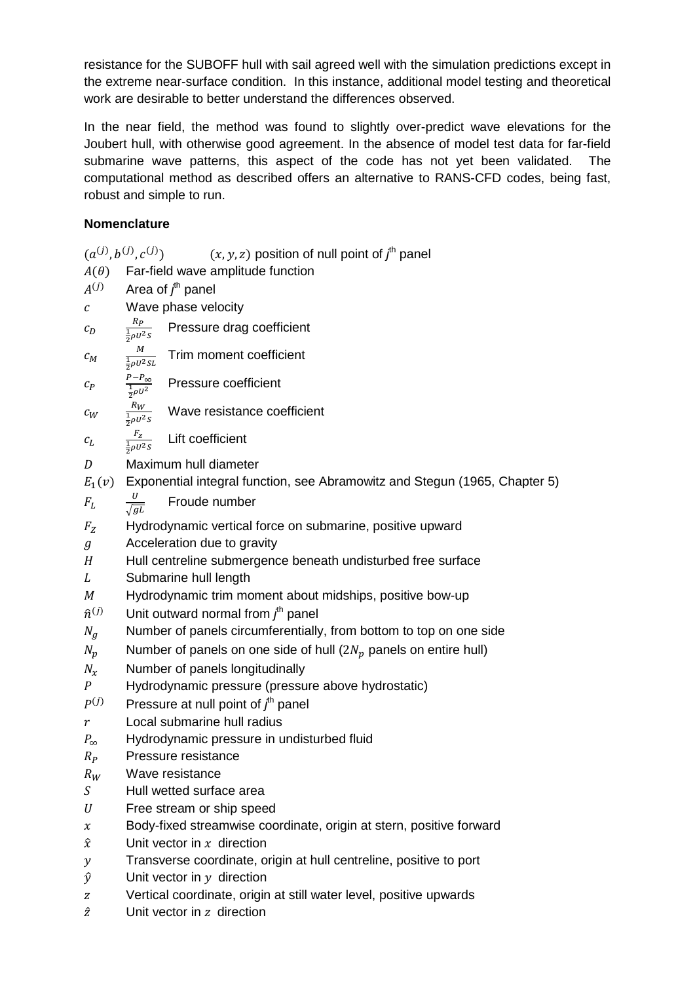resistance for the SUBOFF hull with sail agreed well with the simulation predictions except in the extreme near-surface condition. In this instance, additional model testing and theoretical work are desirable to better understand the differences observed.

In the near field, the method was found to slightly over-predict wave elevations for the Joubert hull, with otherwise good agreement. In the absence of model test data for far-field submarine wave patterns, this aspect of the code has not yet been validated. The computational method as described offers an alternative to RANS-CFD codes, being fast, robust and simple to run.

## **Nomenclature**

 $(a^{(j)}, b^{(j)}, c^{(j)})$ )  $(x, y, z)$  position of null point of  $f<sup>th</sup>$  panel  $A(\theta)$  Far-field wave amplitude function  $A^{(j)}$  Area of  $f^{\text{th}}$  panel  $c$  Wave phase velocity  $c_D$  $R_{P_{-}}$  $rac{1}{2}\rho U^2S$ Pressure drag coefficient  $c_M$  $\boldsymbol{M}$  $rac{1}{2}\rho U^2$ SL Trim moment coefficient  $c_P$  $P_{\infty}$  $\frac{1}{2}\rho U^2$ Pressure coefficient  $c_W$  $R_W$  $rac{1}{2}\rho U^2S$ Wave resistance coefficient  $c_{L}$  $\frac{F_Z}{\frac{1}{2}\rho U^2S}$ Lift coefficient D Maximum hull diameter  $E_1(v)$  Exponential integral function, see Abramowitz and Stegun (1965, Chapter 5)  $F_L$  $\overline{U}$  $\sqrt{g}$ Froude number  $F<sub>z</sub>$  Hydrodynamic vertical force on submarine, positive upward g Cacceleration due to gravity  $H$  Hull centreline submergence beneath undisturbed free surface L Submarine hull length<br>
M Hydrodynamic trim mo Hydrodynamic trim moment about midships, positive bow-up  $\hat{n}^{(j)}$  Unit outward normal from  $f^{\text{th}}$  panel  $N_a$  Number of panels circumferentially, from bottom to top on one side  $N_p$  Number of panels on one side of hull (2 $N_p$  panels on entire hull)  $N_x$  Number of panels longitudinally<br>P Hydrodynamic pressure (pressu P Hydrodynamic pressure (pressure above hydrostatic)<br> $P^{(j)}$  Pressure at null point of  $j^h$  panel  $P^{(j)}$  Pressure at null point of  $f<sup>th</sup>$  panel  $r$  Local submarine hull radius<br> $P_{\infty}$  Hydrodynamic pressure in u ∞ Hydrodynamic pressure in undisturbed fluid  $R<sub>p</sub>$  Pressure resistance  $R_W$  Wave resistance<br> $S$  Hull wetted surfact Hull wetted surface area  $U$  Free stream or ship speed  $x$  Body-fixed streamwise coordinate, origin at stern, positive forward  $\hat{x}$  Unit vector in x direction  $y =$ Transverse coordinate, origin at hull centreline, positive to port  $\hat{y}$  Unit vector in  $y$  direction z Vertical coordinate, origin at still water level, positive upwards  $\hat{z}$  Unit vector in z direction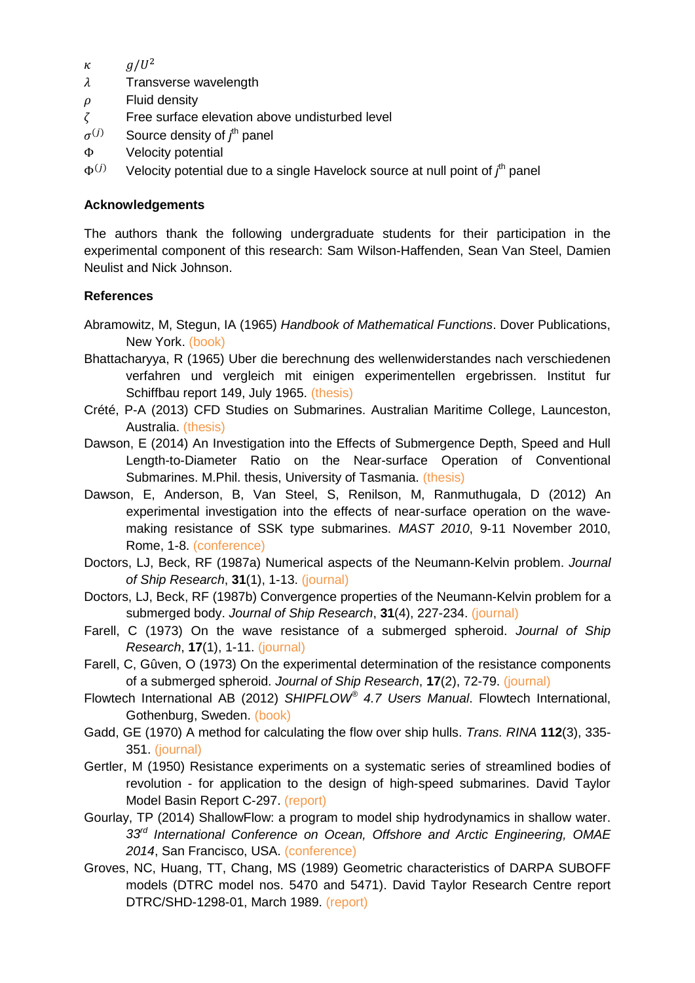- $\kappa$   $q/U^2$
- $\lambda$ Transverse wavelength
- $\rho$  Fluid density
- $\zeta$  Free surface elevation above undisturbed level  $\sigma^{(j)}$  Source density of  $f^h$  panel
- $\sigma^{(j)}$  Source density of  $f^{\text{th}}$  panel
- Φ Velocity potential<br> $Φ<sup>(j)</sup>$  Velocity potential
- $\Phi^{(j)}$  Velocity potential due to a single Havelock source at null point of  $j^{\text{th}}$  panel

## **Acknowledgements**

The authors thank the following undergraduate students for their participation in the experimental component of this research: Sam Wilson-Haffenden, Sean Van Steel, Damien Neulist and Nick Johnson.

## **References**

- Abramowitz, M, Stegun, IA (1965) *Handbook of Mathematical Functions*. Dover Publications, New York. (book)
- Bhattacharyya, R (1965) Uber die berechnung des wellenwiderstandes nach verschiedenen verfahren und vergleich mit einigen experimentellen ergebrissen. Institut fur Schiffbau report 149, July 1965. (thesis)
- Crété, P-A (2013) CFD Studies on Submarines. Australian Maritime College, Launceston, Australia. (thesis)
- Dawson, E (2014) An Investigation into the Effects of Submergence Depth, Speed and Hull Length-to-Diameter Ratio on the Near-surface Operation of Conventional Submarines. M.Phil. thesis, University of Tasmania. (thesis)
- Dawson, E, Anderson, B, Van Steel, S, Renilson, M, Ranmuthugala, D (2012) An experimental investigation into the effects of near-surface operation on the wavemaking resistance of SSK type submarines. *MAST 2010*, 9-11 November 2010, Rome, 1-8. (conference)
- Doctors, LJ, Beck, RF (1987a) Numerical aspects of the Neumann-Kelvin problem. *Journal of Ship Research*, **31**(1), 1-13. (journal)
- Doctors, LJ, Beck, RF (1987b) Convergence properties of the Neumann-Kelvin problem for a submerged body. *Journal of Ship Research*, **31**(4), 227-234. (journal)
- Farell, C (1973) On the wave resistance of a submerged spheroid. *Journal of Ship Research*, **17**(1), 1-11. (journal)
- Farell, C, Gûven, O (1973) On the experimental determination of the resistance components of a submerged spheroid. *Journal of Ship Research*, **17**(2), 72-79. (journal)
- Flowtech International AB (2012) *SHIPFLOW® 4.7 Users Manual*. Flowtech International, Gothenburg, Sweden. (book)
- Gadd, GE (1970) A method for calculating the flow over ship hulls. *Trans. RINA* **112**(3), 335- 351. (journal)
- Gertler, M (1950) Resistance experiments on a systematic series of streamlined bodies of revolution - for application to the design of high-speed submarines. David Taylor Model Basin Report C-297. (report)
- Gourlay, TP (2014) ShallowFlow: a program to model ship hydrodynamics in shallow water. *33rd International Conference on Ocean, Offshore and Arctic Engineering, OMAE 2014*, San Francisco, USA. (conference)
- Groves, NC, Huang, TT, Chang, MS (1989) Geometric characteristics of DARPA SUBOFF models (DTRC model nos. 5470 and 5471). David Taylor Research Centre report DTRC/SHD-1298-01, March 1989. (report)